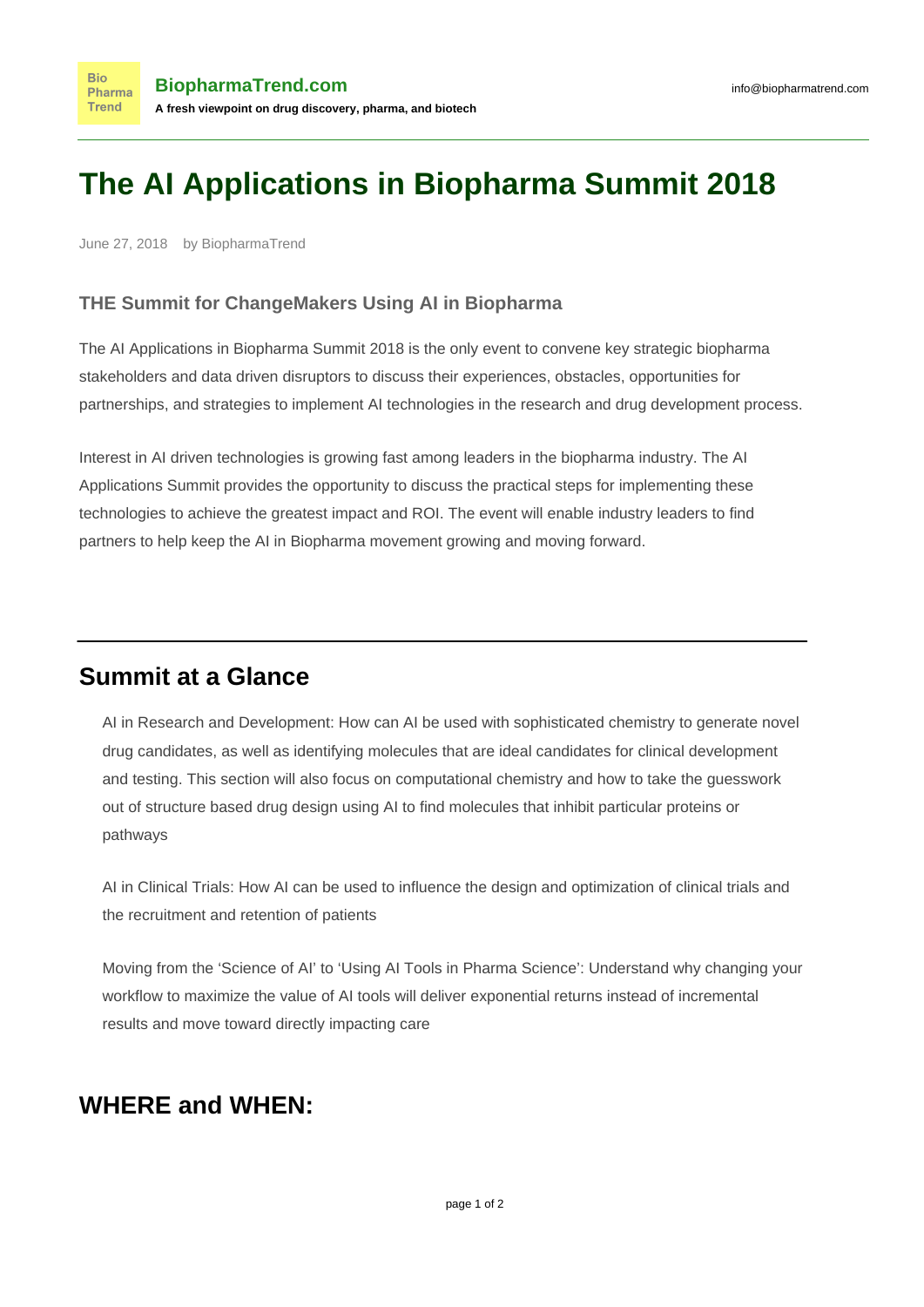## **The AI Applications in Biopharma Summit 2018**

June 27, 2018 by BiopharmaTrend

## **THE Summit for ChangeMakers Using AI in Biopharma**

The AI Applications in Biopharma Summit 2018 is the only event to convene key strategic biopharma stakeholders and data driven disruptors to discuss their experiences, obstacles, opportunities for partnerships, and strategies to implement AI technologies in the research and drug development process.

Interest in AI driven technologies is growing fast among leaders in the biopharma industry. The AI Applications Summit provides the opportunity to discuss the practical steps for implementing these technologies to achieve the greatest impact and ROI. The event will enable industry leaders to find partners to help keep the AI in Biopharma movement growing and moving forward.

## **Summit at a Glance**

AI in Research and Development: How can AI be used with sophisticated chemistry to generate novel drug candidates, as well as identifying molecules that are ideal candidates for clinical development and testing. This section will also focus on computational chemistry and how to take the guesswork out of structure based drug design using AI to find molecules that inhibit particular proteins or pathways

AI in Clinical Trials: How AI can be used to influence the design and optimization of clinical trials and the recruitment and retention of patients

Moving from the 'Science of AI' to 'Using AI Tools in Pharma Science': Understand why changing your workflow to maximize the value of AI tools will deliver exponential returns instead of incremental results and move toward directly impacting care

## **WHERE and WHEN:**